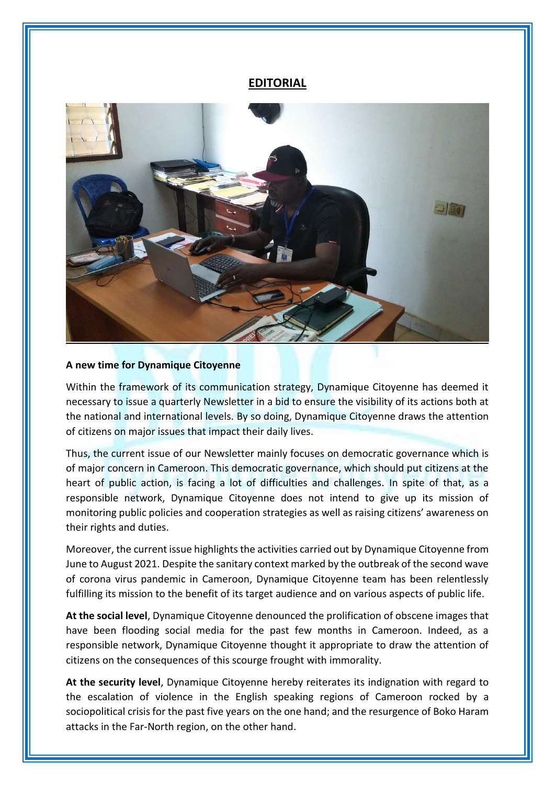## **EDITORIAL**



## **A new time for Dynamique Citoyenne**

Within the framework of its communication strategy, Dynamique Citoyenne has deemed it necessary to issue a quarterly Newsletter in a bid to ensure the visibility of its actions both at the national and international levels. By so doing, Dynamique Citoyenne draws the attention of citizens on major issues that impact their daily lives.

Thus, the current issue of our Newsletter mainly focuses on democratic governance which is of major concern in Cameroon. This democratic governance, which should put citizens at the heart of public action, is facing a lot of difficulties and challenges. In spite of that, as a responsible network, Dynamique Citoyenne does not intend to give up its mission of monitoring public policies and cooperation strategies as well as raising citizens' awareness on their rights and duties.

Moreover, the current issue highlights the activities carried out by Dynamique Citoyenne from June to August 2021. Despite the sanitary context marked by the outbreak of the second wave of corona virus pandemic in Cameroon, Dynamique Citoyenne team has been relentlessly fulfilling its mission to the benefit of its target audience and on various aspects of public life.

**At the social level**, Dynamique Citoyenne denounced the prolification of obscene images that have been flooding social media for the past few months in Cameroon. Indeed, as a responsible network, Dynamique Citoyenne thought it appropriate to draw the attention of citizens on the consequences of this scourge frought with immorality.

**At the security level**, Dynamique Citoyenne hereby reiterates its indignation with regard to the escalation of violence in the English speaking regions of Cameroon rocked by a sociopolitical crisis for the past five years on the one hand; and the resurgence of Boko Haram attacks in the Far-North region, on the other hand.